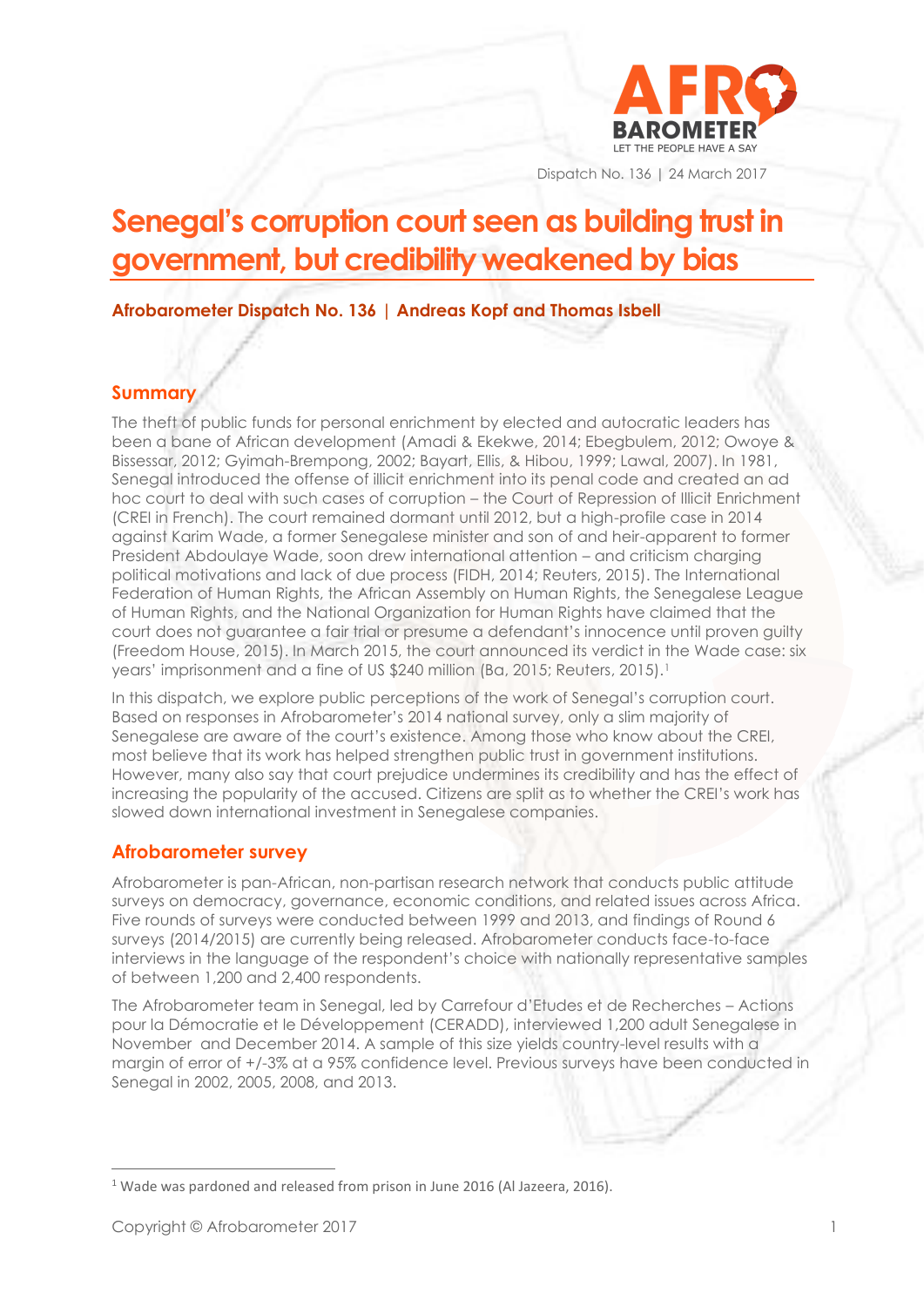

Dispatch No. 136 | 24 March 2017

# **Senegal's corruption court seen as building trust in government, but credibility weakened by bias**

**Afrobarometer Dispatch No. 136 | Andreas Kopf and Thomas Isbell**

### **Summary**

The theft of public funds for personal enrichment by elected and autocratic leaders has been a bane of African development (Amadi & Ekekwe, 2014; Ebegbulem, 2012; Owoye & Bissessar, 2012; Gyimah-Brempong, 2002; Bayart, Ellis, & Hibou, 1999; Lawal, 2007). In 1981, Senegal introduced the offense of illicit enrichment into its penal code and created an ad hoc court to deal with such cases of corruption – the Court of Repression of Illicit Enrichment (CREI in French). The court remained dormant until 2012, but a high-profile case in 2014 against Karim Wade, a former Senegalese minister and son of and heir-apparent to former President Abdoulaye Wade, soon drew international attention – and criticism charging political motivations and lack of due process (FIDH, 2014; Reuters, 2015). The International Federation of Human Rights, the African Assembly on Human Rights, the Senegalese League of Human Rights, and the National Organization for Human Rights have claimed that the court does not guarantee a fair trial or presume a defendant's innocence until proven guilty (Freedom House, 2015). In March 2015, the court announced its verdict in the Wade case: six years' imprisonment and a fine of US \$240 million (Ba, 2015; Reuters, 2015).<sup>1</sup>

In this dispatch, we explore public perceptions of the work of Senegal's corruption court. Based on responses in Afrobarometer's 2014 national survey, only a slim majority of Senegalese are aware of the court's existence. Among those who know about the CREI, most believe that its work has helped strengthen public trust in government institutions. However, many also say that court prejudice undermines its credibility and has the effect of increasing the popularity of the accused. Citizens are split as to whether the CREI's work has slowed down international investment in Senegalese companies.

### **Afrobarometer survey**

Afrobarometer is pan-African, non-partisan research network that conducts public attitude surveys on democracy, governance, economic conditions, and related issues across Africa. Five rounds of surveys were conducted between 1999 and 2013, and findings of Round 6 surveys (2014/2015) are currently being released. Afrobarometer conducts face-to-face interviews in the language of the respondent's choice with nationally representative samples of between 1,200 and 2,400 respondents.

The Afrobarometer team in Senegal, led by Carrefour d'Etudes et de Recherches – Actions pour la Démocratie et le Développement (CERADD), interviewed 1,200 adult Senegalese in November and December 2014. A sample of this size yields country-level results with a margin of error of +/-3% at a 95% confidence level. Previous surveys have been conducted in Senegal in 2002, 2005, 2008, and 2013.

<sup>&</sup>lt;sup>1</sup> Wade was pardoned and released from prison in June 2016 (Al Jazeera, 2016).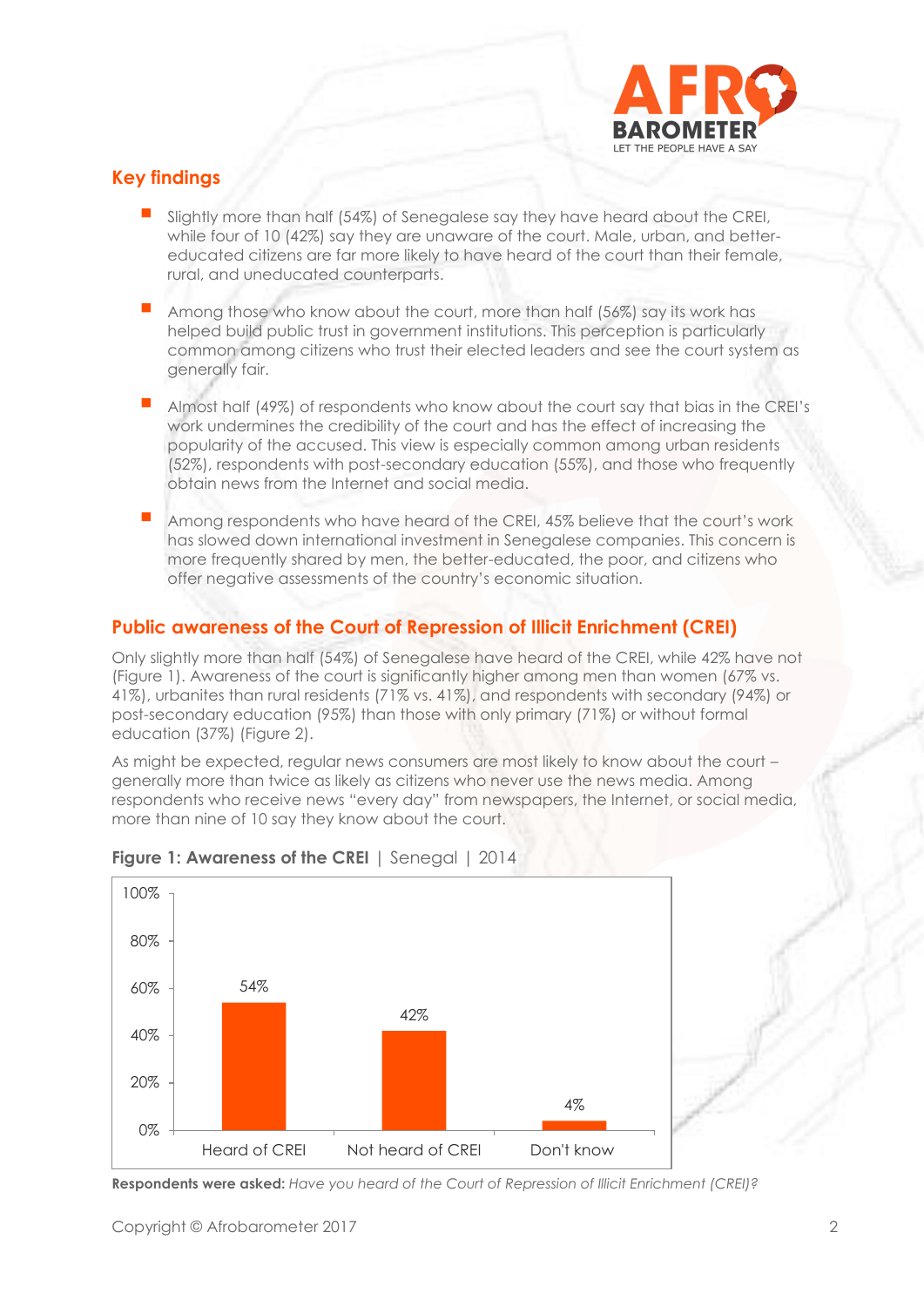

### **Key findings**

- Slightly more than half (54%) of Senegalese say they have heard about the CREI, while four of 10 (42%) say they are unaware of the court. Male, urban, and bettereducated citizens are far more likely to have heard of the court than their female, rural, and uneducated counterparts.
- Among those who know about the court, more than half (56%) say its work has helped build public trust in government institutions. This perception is particularly common among citizens who trust their elected leaders and see the court system as generally fair.
- Almost half (49%) of respondents who know about the court say that bias in the CREI's work undermines the credibility of the court and has the effect of increasing the popularity of the accused. This view is especially common among urban residents (52%), respondents with post-secondary education (55%), and those who frequently obtain news from the Internet and social media.
- Among respondents who have heard of the CREI, 45% believe that the court's work has slowed down international investment in Senegalese companies. This concern is more frequently shared by men, the better-educated, the poor, and citizens who offer negative assessments of the country's economic situation.

# **Public awareness of the Court of Repression of Illicit Enrichment (CREI)**

Only slightly more than half (54%) of Senegalese have heard of the CREI, while 42% have not (Figure 1). Awareness of the court is significantly higher among men than women (67% vs. 41%), urbanites than rural residents (71% vs. 41%), and respondents with secondary (94%) or post-secondary education (95%) than those with only primary (71%) or without formal education (37%) (Figure 2).

As might be expected, regular news consumers are most likely to know about the court generally more than twice as likely as citizens who never use the news media. Among respondents who receive news "every day" from newspapers, the Internet, or social media, more than nine of 10 say they know about the court.



### **Figure 1: Awareness of the CREI** | Senegal | 2014

**Respondents were asked:** *Have you heard of the Court of Repression of Illicit Enrichment (CREI)?*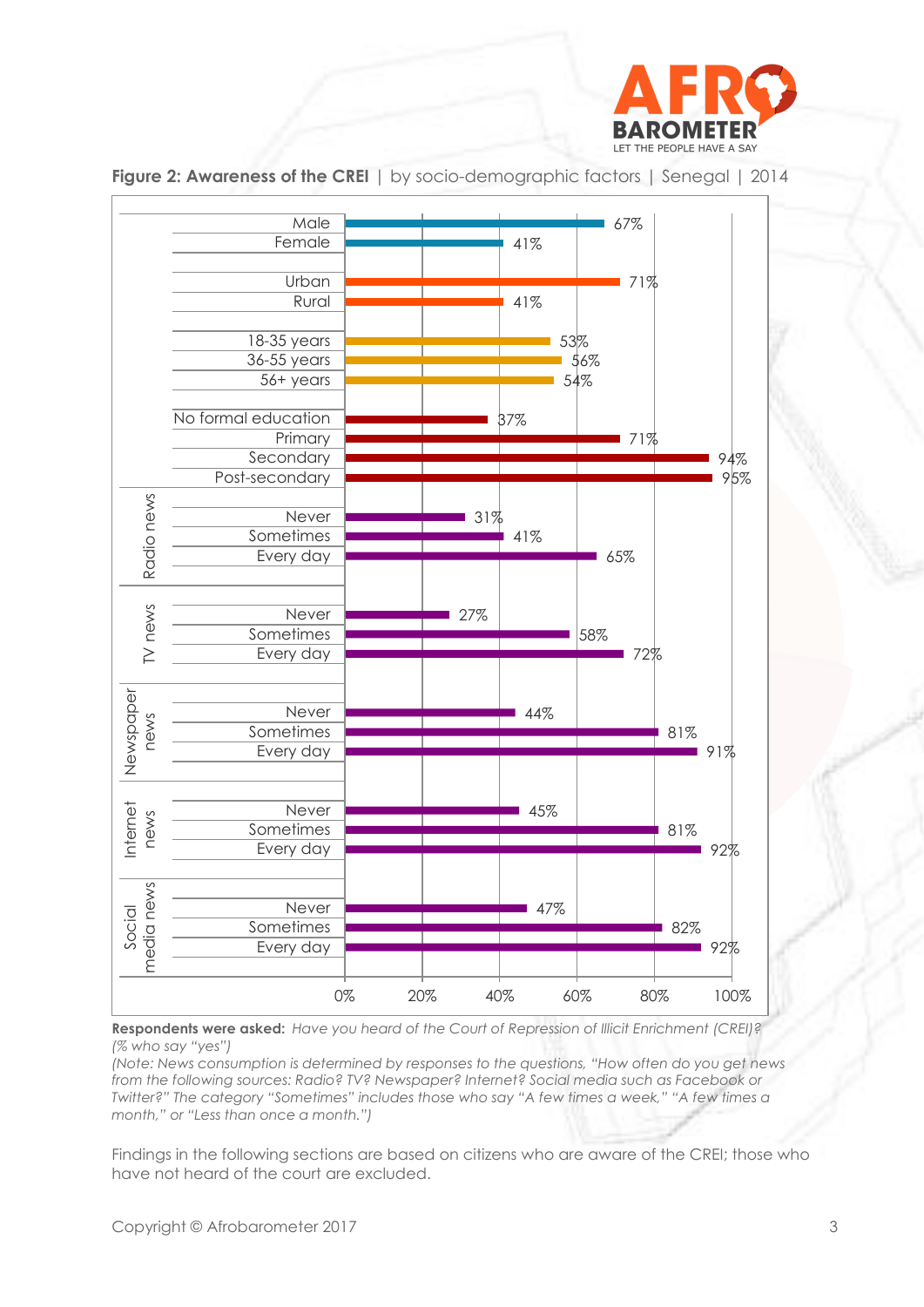



**Figure 2: Awareness of the CREI** | by socio-demographic factors | Senegal | 2014

**Respondents were asked:** *Have you heard of the Court of Repression of Illicit Enrichment (CREI)? (% who say "yes")*

*(Note: News consumption is determined by responses to the questions, "How often do you get news from the following sources: Radio? TV? Newspaper? Internet? Social media such as Facebook or Twitter?" The category "Sometimes" includes those who say "A few times a week," "A few times a month," or "Less than once a month.")*

Findings in the following sections are based on citizens who are aware of the CREI; those who have not heard of the court are excluded.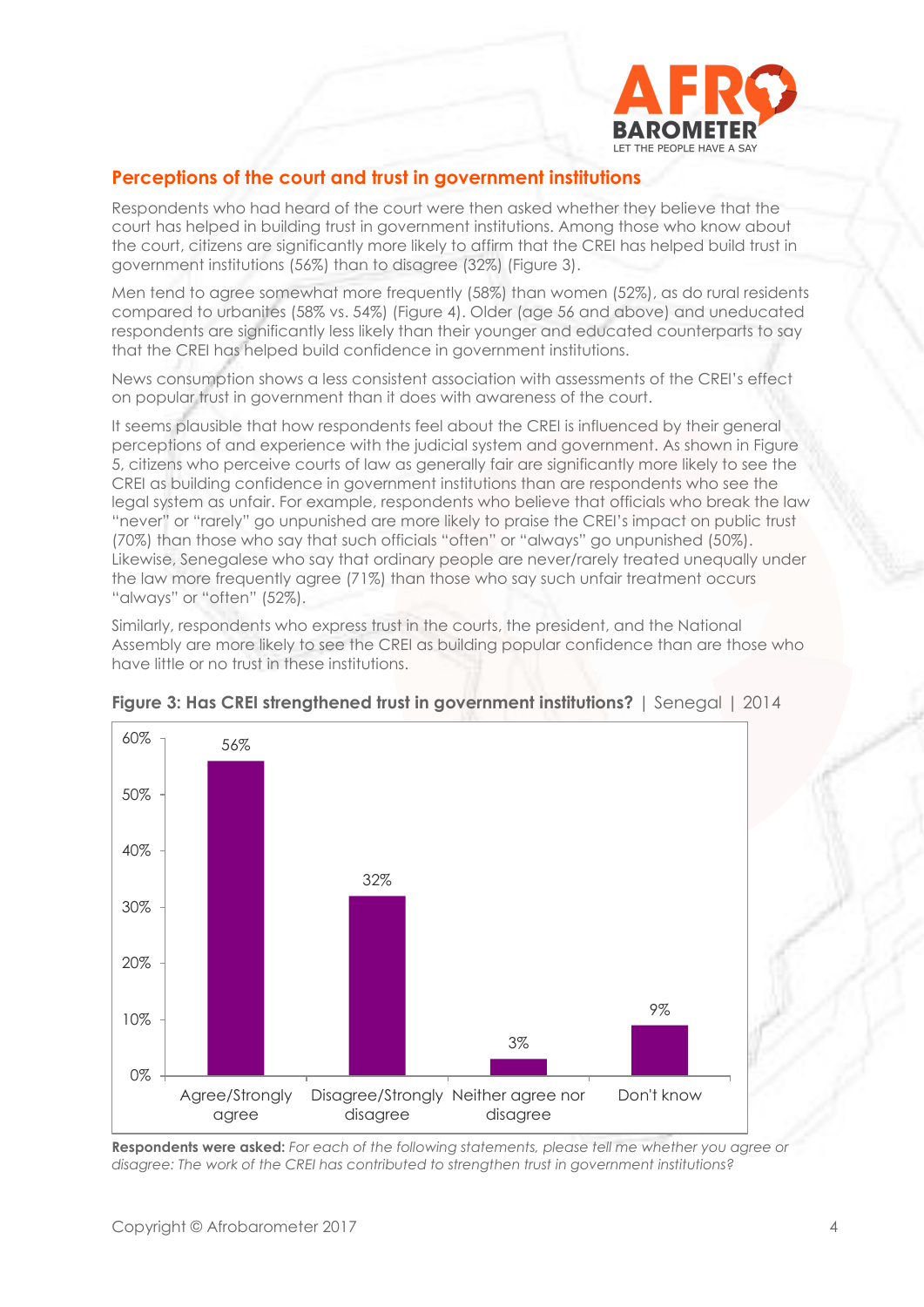

### **Perceptions of the court and trust in government institutions**

Respondents who had heard of the court were then asked whether they believe that the court has helped in building trust in government institutions. Among those who know about the court, citizens are significantly more likely to affirm that the CREI has helped build trust in government institutions (56%) than to disagree (32%) (Figure 3).

Men tend to agree somewhat more frequently (58%) than women (52%), as do rural residents compared to urbanites (58% vs. 54%) (Figure 4). Older (age 56 and above) and uneducated respondents are significantly less likely than their younger and educated counterparts to say that the CREI has helped build confidence in government institutions.

News consumption shows a less consistent association with assessments of the CREI's effect on popular trust in government than it does with awareness of the court.

It seems plausible that how respondents feel about the CREI is influenced by their general perceptions of and experience with the judicial system and government. As shown in Figure 5, citizens who perceive courts of law as generally fair are significantly more likely to see the CREI as building confidence in government institutions than are respondents who see the legal system as unfair. For example, respondents who believe that officials who break the law "never" or "rarely" go unpunished are more likely to praise the CREI's impact on public trust (70%) than those who say that such officials "often" or "always" go unpunished (50%). Likewise, Senegalese who say that ordinary people are never/rarely treated unequally under the law more frequently agree (71%) than those who say such unfair treatment occurs "always" or "often" (52%).

Similarly, respondents who express trust in the courts, the president, and the National Assembly are more likely to see the CREI as building popular confidence than are those who have little or no trust in these institutions.



**Figure 3: Has CREI strengthened trust in government institutions?** | Senegal | 2014

**Respondents were asked:** *For each of the following statements, please tell me whether you agree or disagree: The work of the CREI has contributed to strengthen trust in government institutions?*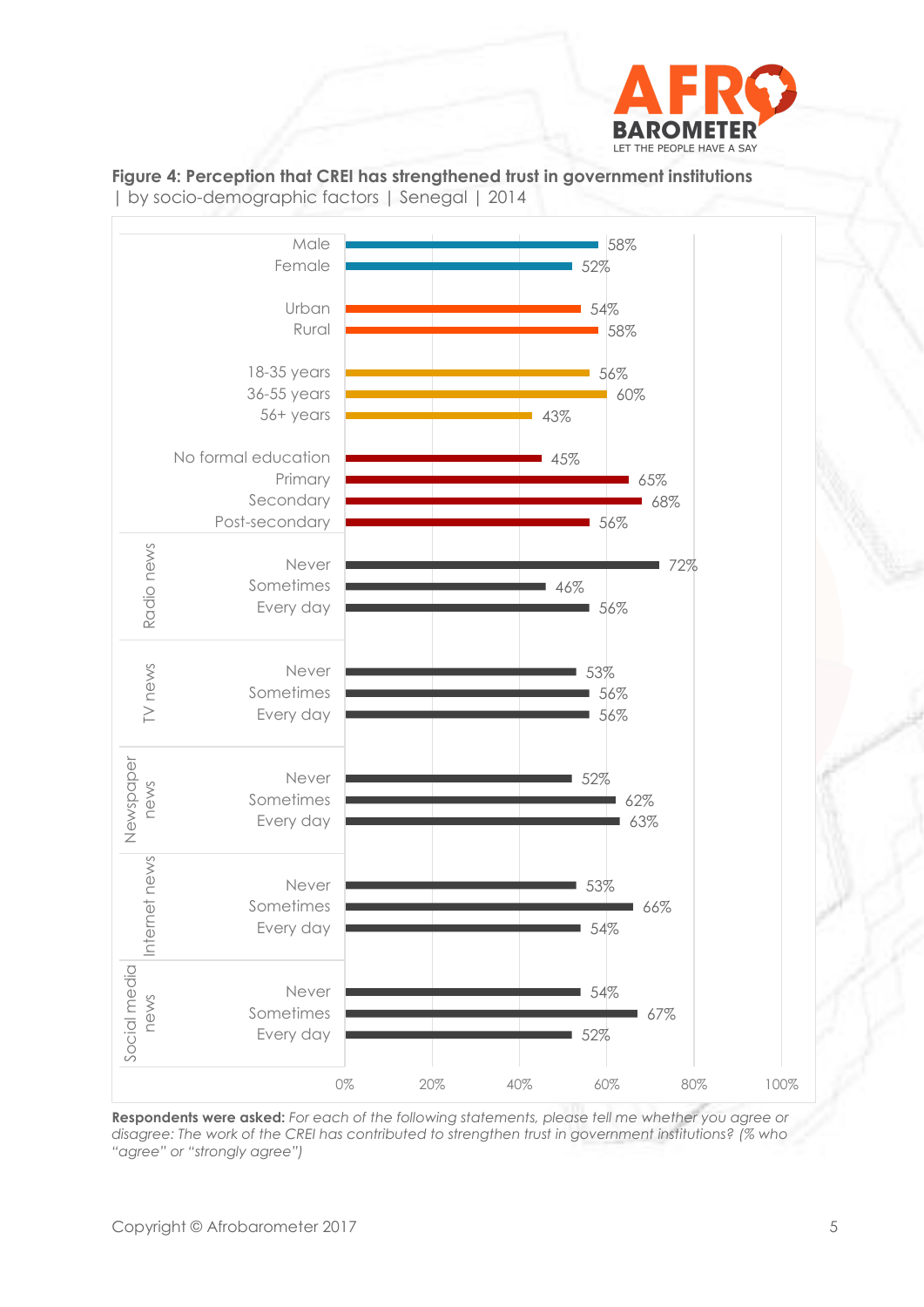





**Respondents were asked:** *For each of the following statements, please tell me whether you agree or disagree: The work of the CREI has contributed to strengthen trust in government institutions? (% who "agree" or "strongly agree")*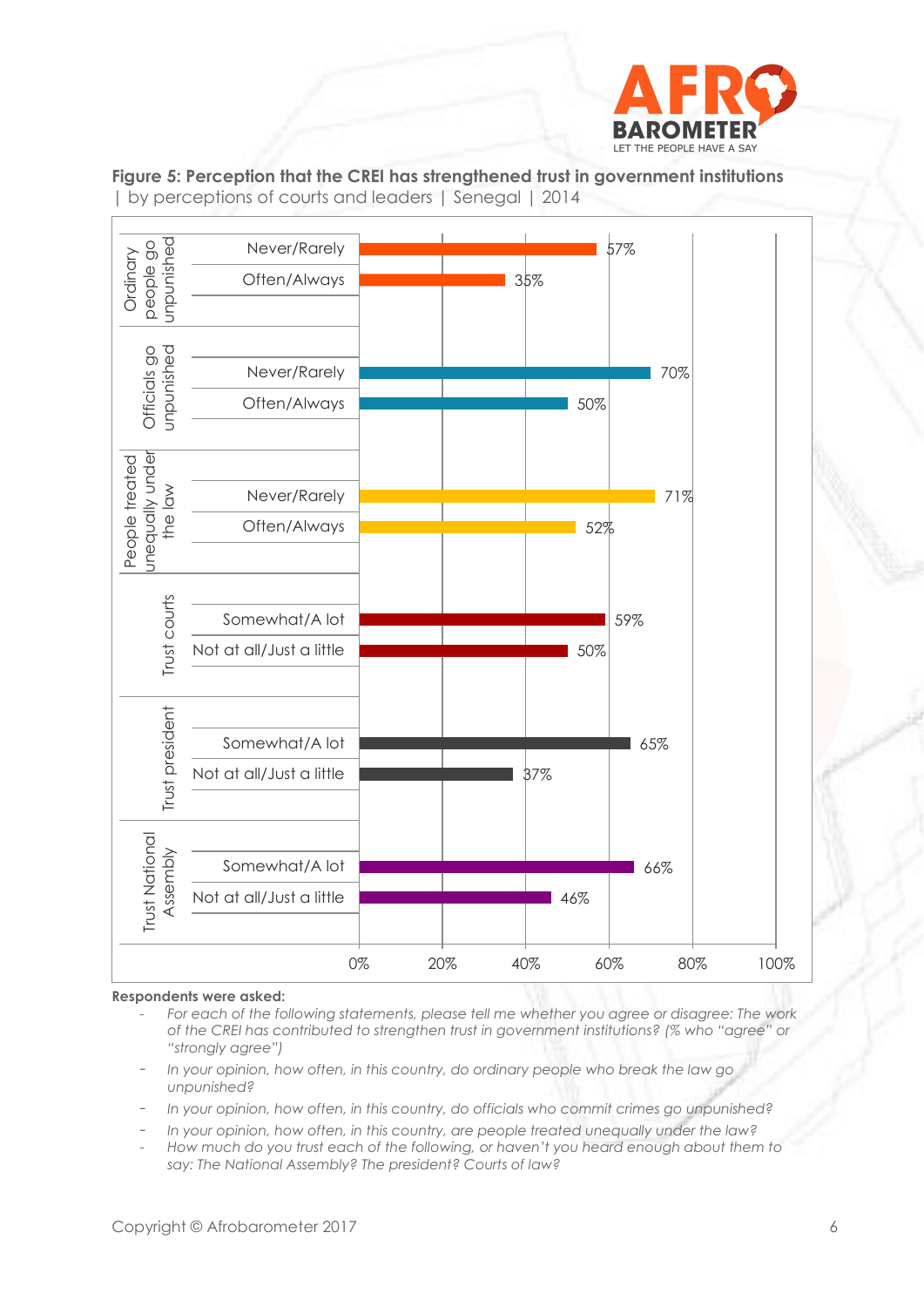



**Figure 5: Perception that the CREI has strengthened trust in government institutions**  | by perceptions of courts and leaders | Senegal | 2014

#### **Respondents were asked:**

- *For each of the following statements, please tell me whether you agree or disagree: The work of the CREI has contributed to strengthen trust in government institutions? (% who "agree" or "strongly agree")*
- *In your opinion, how often, in this country, do ordinary people who break the law go unpunished?*
- *In your opinion, how often, in this country, do officials who commit crimes go unpunished?*
- *In your opinion, how often, in this country, are people treated unequally under the law?*
- *How much do you trust each of the following, or haven't you heard enough about them to say: The National Assembly? The president? Courts of law?*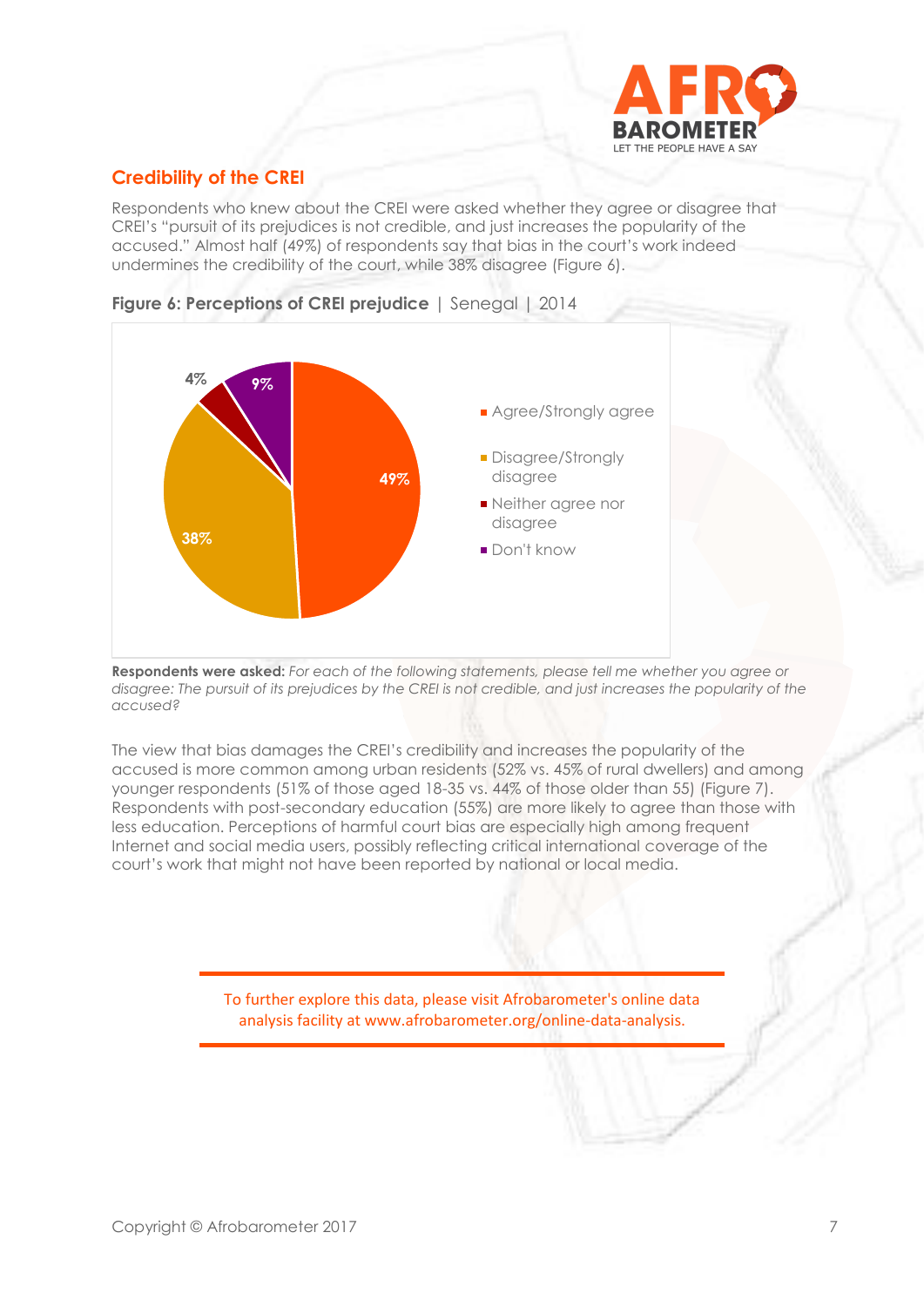

# **Credibility of the CREI**

Respondents who knew about the CREI were asked whether they agree or disagree that CREI's "pursuit of its prejudices is not credible, and just increases the popularity of the accused." Almost half (49%) of respondents say that bias in the court's work indeed undermines the credibility of the court, while 38% disagree (Figure 6).





**Respondents were asked:** *For each of the following statements, please tell me whether you agree or disagree: The pursuit of its prejudices by the CREI is not credible, and just increases the popularity of the accused?*

The view that bias damages the CREI's credibility and increases the popularity of the accused is more common among urban residents (52% vs. 45% of rural dwellers) and among younger respondents (51% of those aged 18-35 vs. 44% of those older than 55) (Figure 7). Respondents with post-secondary education (55%) are more likely to agree than those with less education. Perceptions of harmful court bias are especially high among frequent Internet and social media users, possibly reflecting critical international coverage of the court's work that might not have been reported by national or local media.

> To further explore this data, please visit Afrobarometer's online data analysis facility at www.afrobarometer.org/online-data-analysis.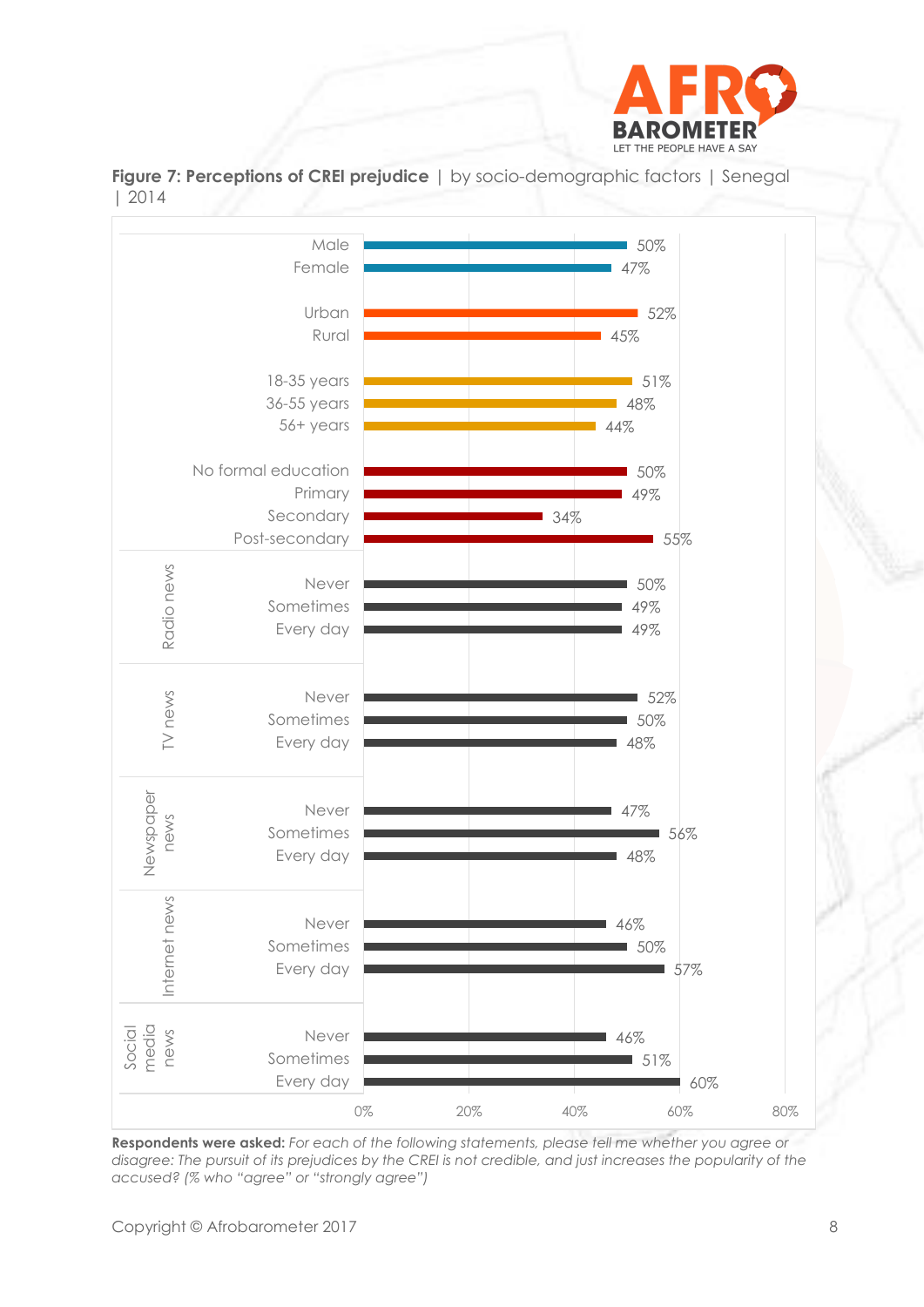

**Figure 7: Perceptions of CREI prejudice** | by socio-demographic factors | Senegal | 2014



**Respondents were asked:** *For each of the following statements, please tell me whether you agree or disagree: The pursuit of its prejudices by the CREI is not credible, and just increases the popularity of the accused? (% who "agree" or "strongly agree")*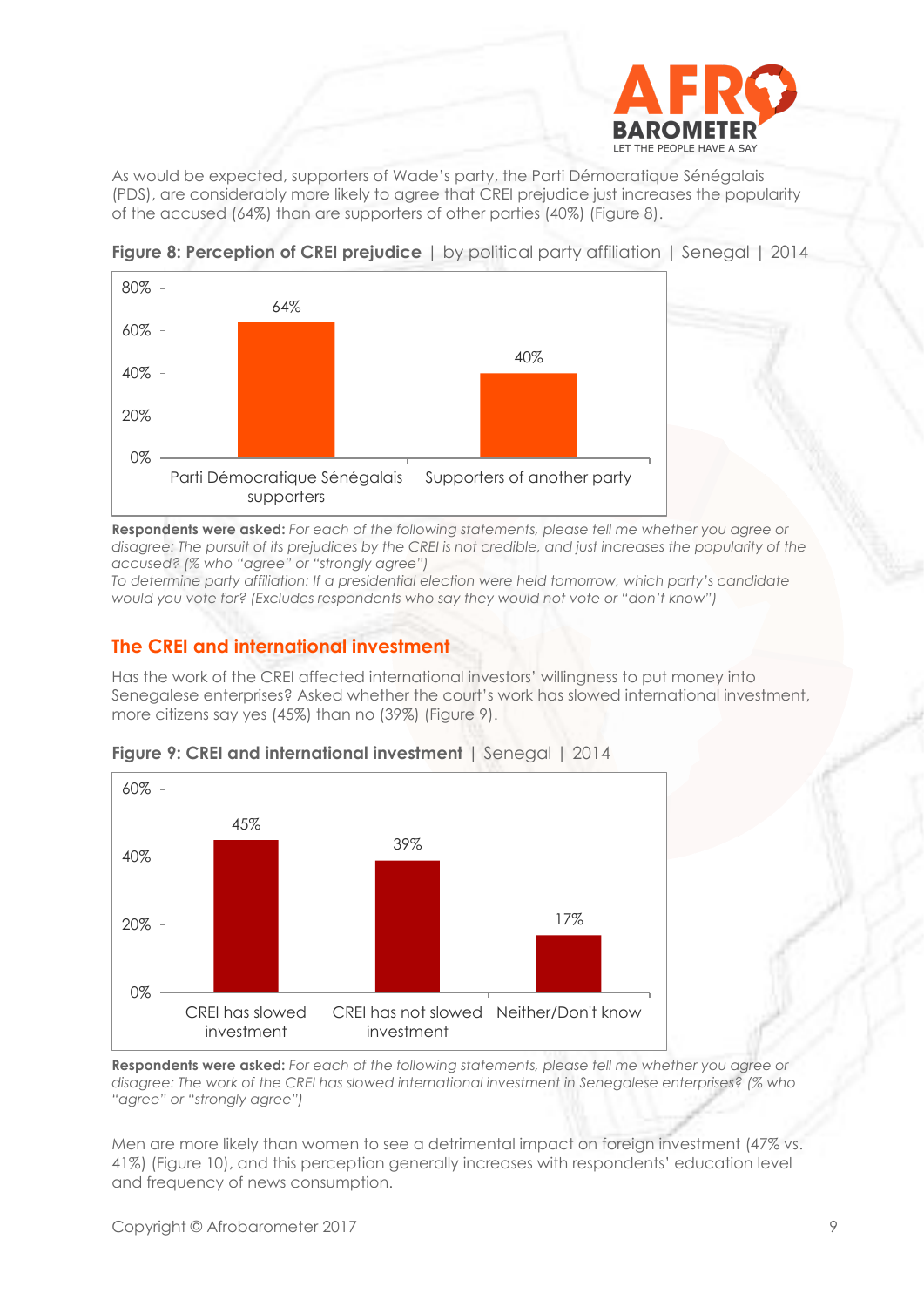

As would be expected, supporters of Wade's party, the Parti Démocratique Sénégalais (PDS), are considerably more likely to agree that CREI prejudice just increases the popularity of the accused (64%) than are supporters of other parties (40%) (Figure 8).



**Figure 8: Perception of CREI prejudice** | by political party affiliation | Senegal | 2014

**Respondents were asked:** *For each of the following statements, please tell me whether you agree or*  disagree: The pursuit of its prejudices by the CREI is not credible, and just increases the popularity of the *accused? (% who "agree" or "strongly agree")*

*To determine party affiliation: If a presidential election were held tomorrow, which party's candidate would you vote for? (Excludes respondents who say they would not vote or "don't know")*

# **The CREI and international investment**

Has the work of the CREI affected international investors' willingness to put money into Senegalese enterprises? Asked whether the court's work has slowed international investment, more citizens say yes (45%) than no (39%) (Figure 9).



**Figure 9: CREI and international investment** | Senegal | 2014

**Respondents were asked:** *For each of the following statements, please tell me whether you agree or disagree: The work of the CREI has slowed international investment in Senegalese enterprises? (% who "agree" or "strongly agree")*

Men are more likely than women to see a detrimental impact on foreign investment (47% vs. 41%) (Figure 10), and this perception generally increases with respondents' education level and frequency of news consumption.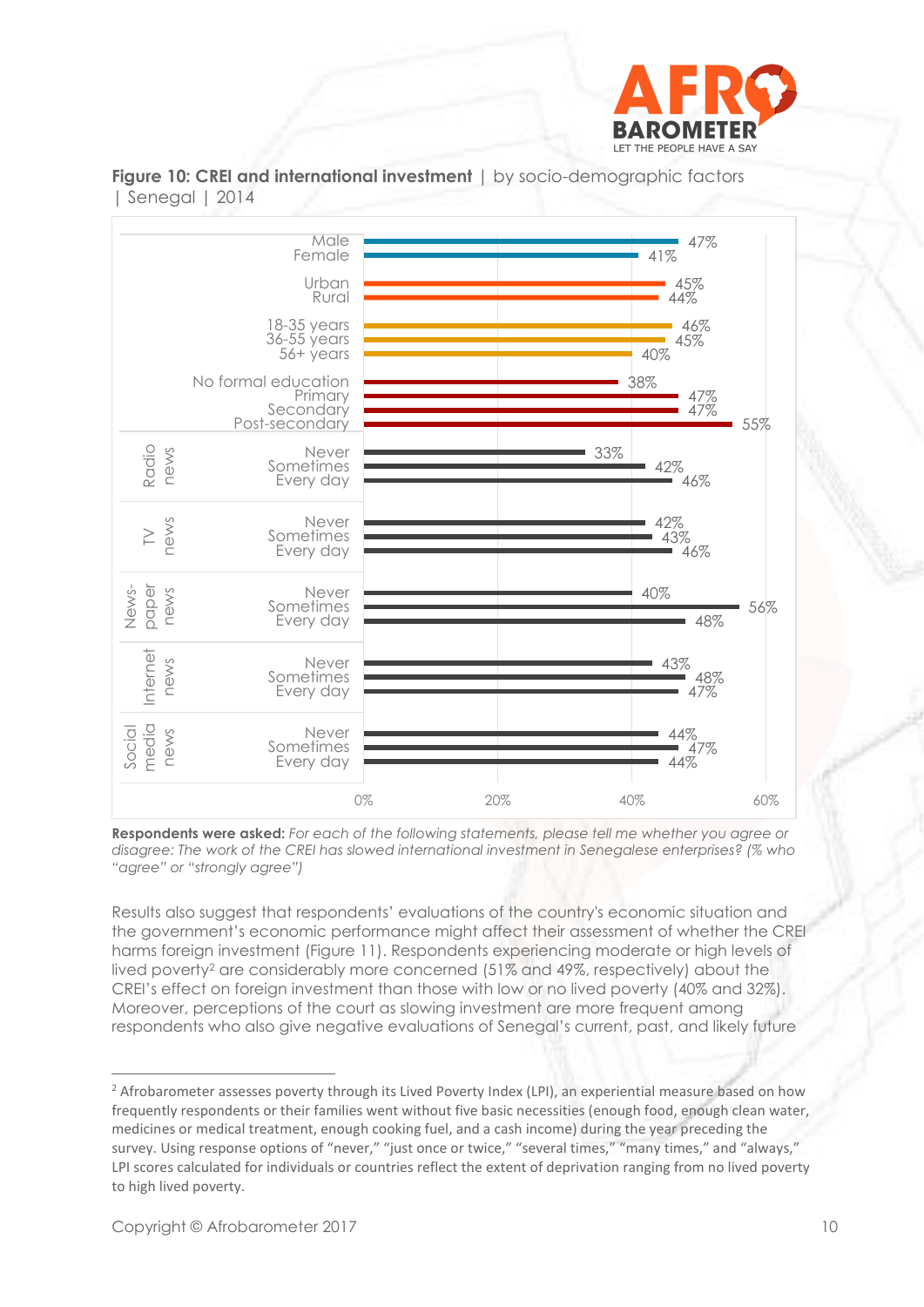



**Figure 10: CREI and international investment** | by socio-demographic factors | Senegal | 2014

**Respondents were asked:** *For each of the following statements, please tell me whether you agree or disagree: The work of the CREI has slowed international investment in Senegalese enterprises? (% who "agree" or "strongly agree")*

Results also suggest that respondents' evaluations of the country's economic situation and the government's economic performance might affect their assessment of whether the CREI harms foreign investment (Figure 11). Respondents experiencing moderate or high levels of lived poverty<sup>2</sup> are considerably more concerned (51% and 49%, respectively) about the CREI's effect on foreign investment than those with low or no lived poverty (40% and 32%). Moreover, perceptions of the court as slowing investment are more frequent among respondents who also give negative evaluations of Senegal's current, past, and likely future

<sup>&</sup>lt;sup>2</sup> Afrobarometer assesses poverty through its Lived Poverty Index (LPI), an experiential measure based on how frequently respondents or their families went without five basic necessities (enough food, enough clean water, medicines or medical treatment, enough cooking fuel, and a cash income) during the year preceding the survey. Using response options of "never," "just once or twice," "several times," "many times," and "always," LPI scores calculated for individuals or countries reflect the extent of deprivation ranging from no lived poverty to high lived poverty.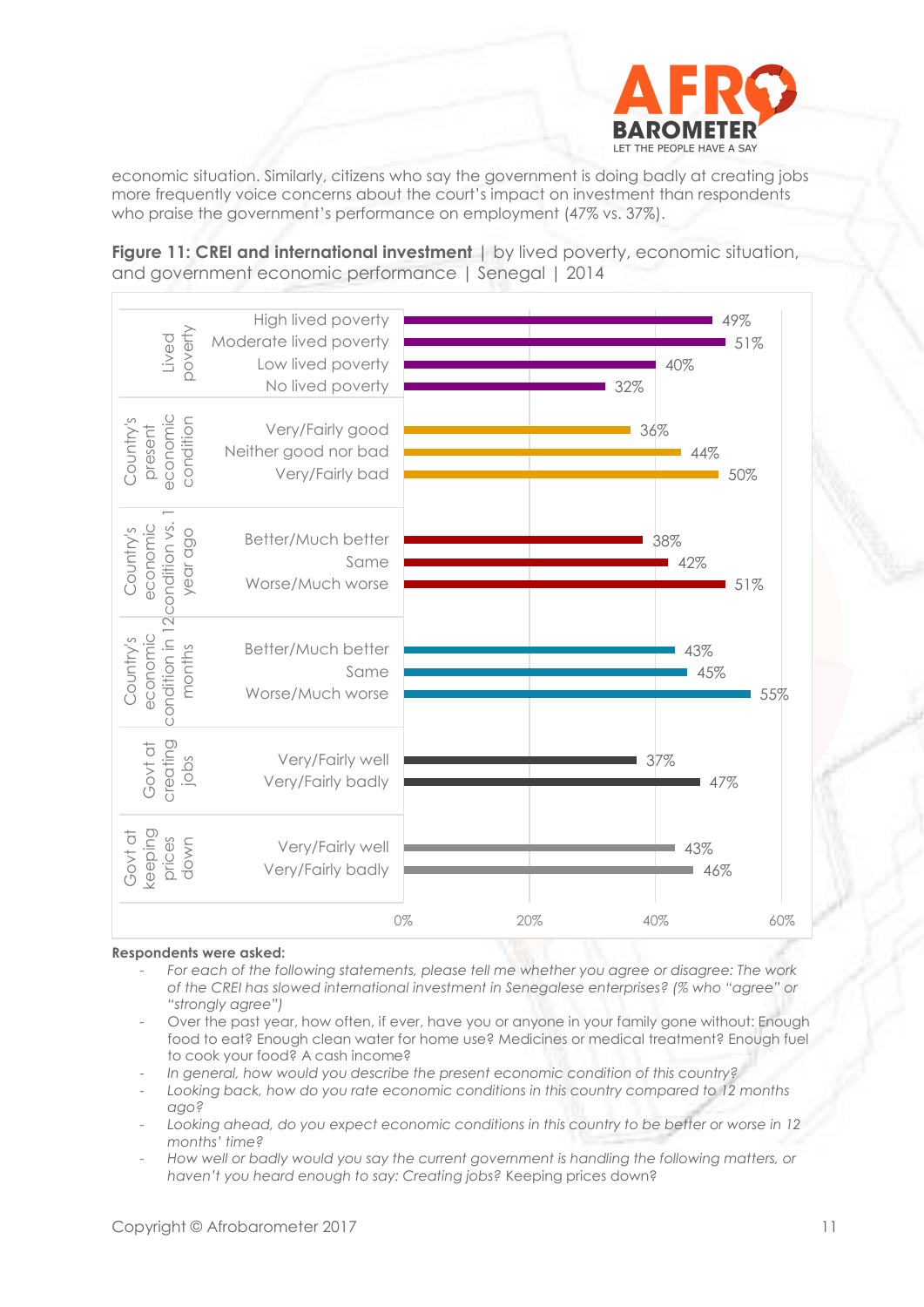

economic situation. Similarly, citizens who say the government is doing badly at creating jobs more frequently voice concerns about the court's impact on investment than respondents who praise the government's performance on employment (47% vs. 37%).

**Figure 11: CREI and international investment** | by lived poverty, economic situation, and government economic performance | Senegal | 2014

| 49%<br>51%<br>40%<br>32% |     | High lived poverty<br>Moderate lived poverty<br>Low lived poverty<br>No lived poverty | ooverty<br>Lived                                                 |
|--------------------------|-----|---------------------------------------------------------------------------------------|------------------------------------------------------------------|
| 36%<br>44%<br>50%        |     | Very/Fairly good<br>Neither good nor bad<br>Very/Fairly bad                           | present<br>economic<br>condition<br>Country's                    |
| 38%<br>42%<br>51%        |     | Better/Much better<br>Same<br>Worse/Much worse                                        | economic<br>Country's<br>year ago                                |
| 43%<br>45%<br>55%        |     | Better/Much better<br>Same<br>Worse/Much worse                                        | condition in 12 condition vs.<br>economic<br>Country's<br>months |
| 37%<br>47%               |     | Very/Fairly well<br>Very/Fairly badly                                                 | creating<br>Govt at<br>jobs                                      |
| 43%<br>46%               |     | Very/Fairly well<br>Very/Fairly badly                                                 | keeping<br>Govt at<br>prices<br>down                             |
| 60%<br>40%               | 20% | 0%                                                                                    |                                                                  |

#### **Respondents were asked:**

- *For each of the following statements, please tell me whether you agree or disagree: The work of the CREI has slowed international investment in Senegalese enterprises? (% who "agree" or "strongly agree")*
- Over the past year, how often, if ever, have you or anyone in your family gone without: Enough food to eat? Enough clean water for home use? Medicines or medical treatment? Enough fuel to cook your food? A cash income?
- *In general, how would you describe the present economic condition of this country?*
- Looking back, how do you rate economic conditions in this country compared to 12 months *ago?*
- *Looking ahead, do you expect economic conditions in this country to be better or worse in 12 months' time?*
- *How well or badly would you say the current government is handling the following matters, or haven't you heard enough to say: Creating jobs?* Keeping prices down?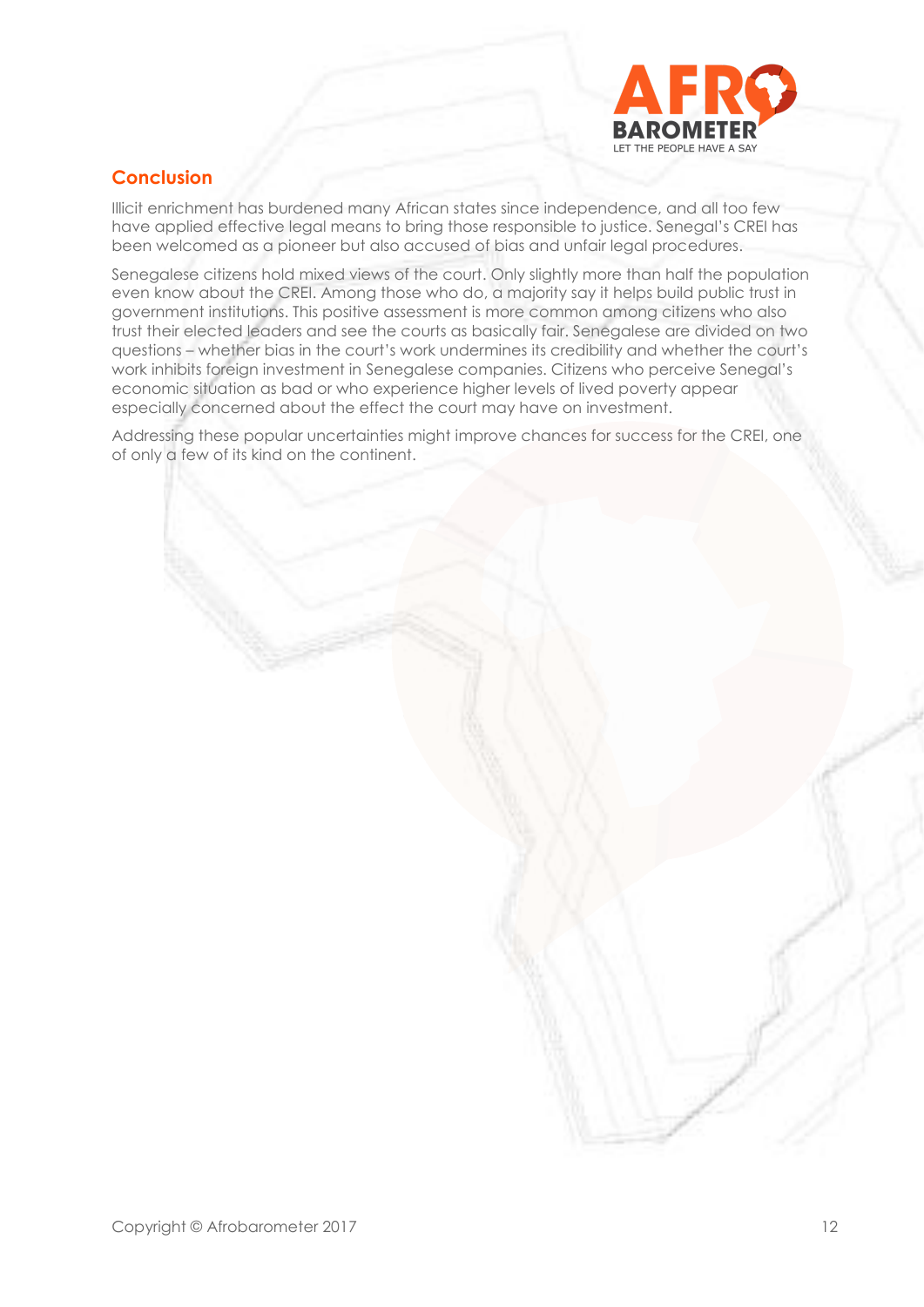

# **Conclusion**

Illicit enrichment has burdened many African states since independence, and all too few have applied effective legal means to bring those responsible to justice. Senegal's CREI has been welcomed as a pioneer but also accused of bias and unfair legal procedures.

Senegalese citizens hold mixed views of the court. Only slightly more than half the population even know about the CREI. Among those who do, a majority say it helps build public trust in government institutions. This positive assessment is more common among citizens who also trust their elected leaders and see the courts as basically fair. Senegalese are divided on two questions – whether bias in the court's work undermines its credibility and whether the court's work inhibits foreign investment in Senegalese companies. Citizens who perceive Senegal's economic situation as bad or who experience higher levels of lived poverty appear especially concerned about the effect the court may have on investment.

Addressing these popular uncertainties might improve chances for success for the CREI, one of only a few of its kind on the continent.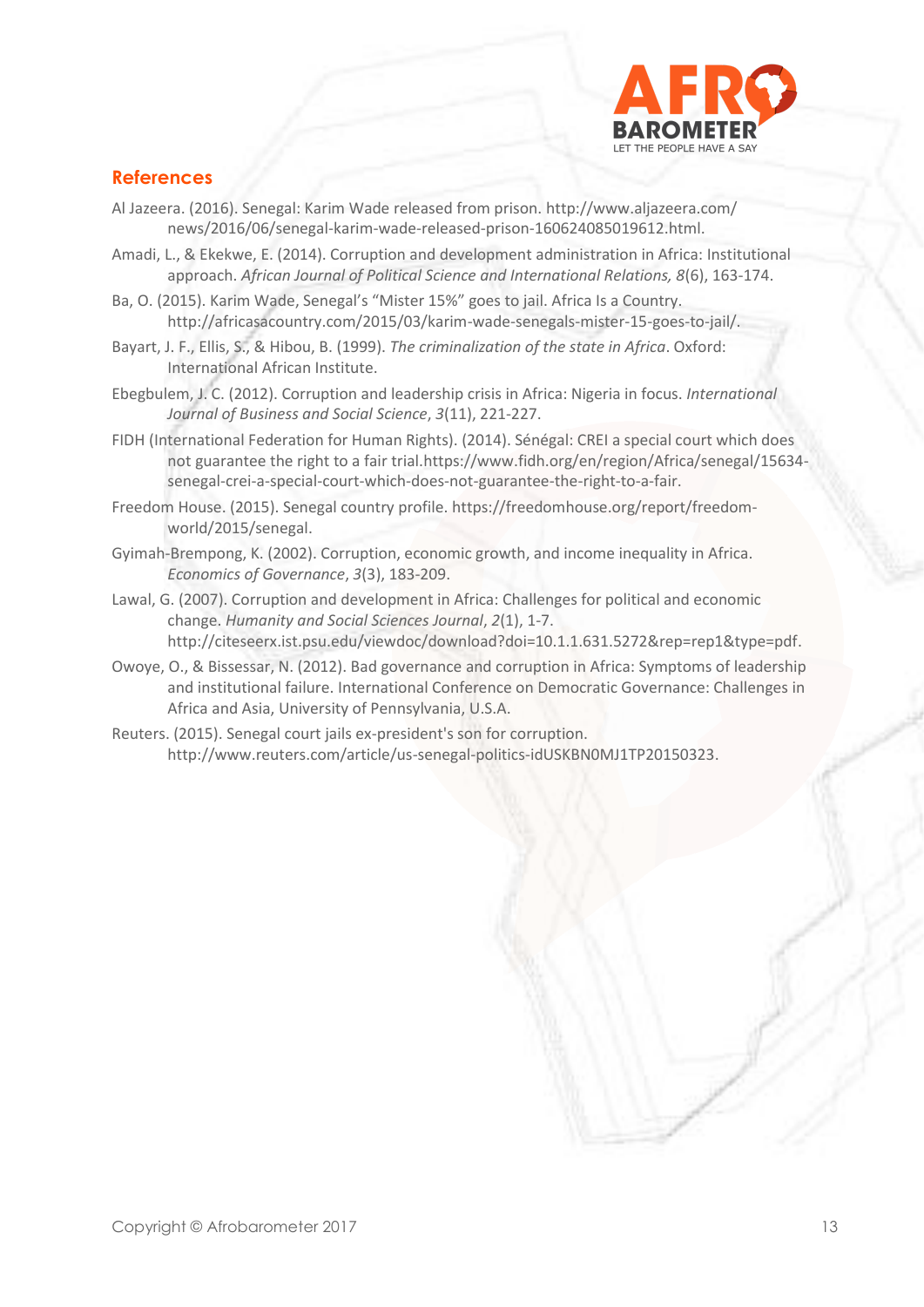

### **References**

- Al Jazeera. (2016). Senegal: Karim Wade released from prison.<http://www.aljazeera.com/> news/2016/06/senegal-karim-wade-released-prison-160624085019612.html.
- Amadi, L., & Ekekwe, E. (2014). Corruption and development administration in Africa: Institutional approach. *African Journal of Political Science and International Relations, 8*(6), 163-174.
- Ba, O. (2015). Karim Wade, Senegal's "Mister 15%" goes to jail. Africa Is a Country. [http://africasacountry.com/2015/03/karim-wade-senegals-mister-15-goes-to-jail/.](http://africasacountry.com/2015/03/karim-wade-senegals-mister-15-goes-to-jail/)
- Bayart, J. F., Ellis, S., & Hibou, B. (1999). *The criminalization of the state in Africa*. Oxford: International African Institute.
- Ebegbulem, J. C. (2012). Corruption and leadership crisis in Africa: Nigeria in focus. *International Journal of Business and Social Science*, *3*(11), 221-227.
- FIDH (International Federation for Human Rights). (2014). Sénégal: CREI a special court which does not guarantee the right to a fair tria[l.https://www.fidh.org/en/region/Africa/senegal/15634](https://www.fidh.org/en/region/Africa/senegal/15634-senegal-crei-a-special-court-which-does-not-guarantee-the-right-to-a-fair) [senegal-crei-a-special-court-which-does-not-guarantee-the-right-to-a-fair.](https://www.fidh.org/en/region/Africa/senegal/15634-senegal-crei-a-special-court-which-does-not-guarantee-the-right-to-a-fair)
- Freedom House. (2015). Senegal country profile. [https://freedomhouse.org/report/freedom](https://freedomhouse.org/report/freedom-world/2015/senegal)[world/2015/senegal.](https://freedomhouse.org/report/freedom-world/2015/senegal)
- Gyimah-Brempong, K. (2002). Corruption, economic growth, and income inequality in Africa. *Economics of Governance*, *3*(3), 183-209.
- Lawal, G. (2007). Corruption and development in Africa: Challenges for political and economic change. *Humanity and Social Sciences Journal*, *2*(1), 1-7. [http://citeseerx.ist.psu.edu/viewdoc/download?doi=10.1.1.631.5272&rep=rep1&type=pdf.](http://citeseerx.ist.psu.edu/viewdoc/download?doi=10.1.1.631.5272&rep=rep1&type=pdf)
- Owoye, O., & Bissessar, N. (2012). Bad governance and corruption in Africa: Symptoms of leadership and institutional failure. International Conference on Democratic Governance: Challenges in Africa and Asia, University of Pennsylvania, U.S.A.
- Reuters. (2015). Senegal court jails ex-president's son for corruption. http://www.reuters.com/article/us-senegal-politics-idUSKBN0MJ1TP20150323.